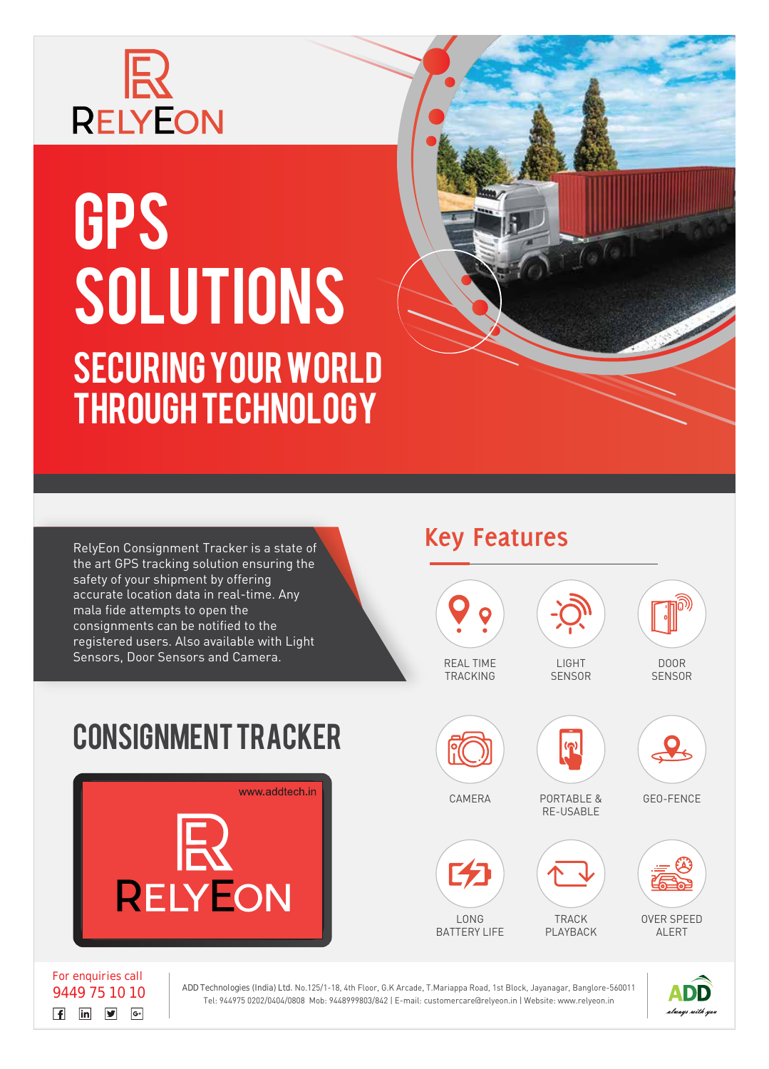

## GPS SOLUTIONS SECURING YOUR WORLD THROUGH TECHNOLOGY

the art GPS tracking solution ensuring the safety of your shipment by offering accurate location data in real-time. Any mala fide attempts to open the consignments can be notified to the registered users. Also available with Light Sensors, Door Sensors and Camera.



RelyEon Consignment Tracker is a state of **Key Features** 



 $7s$ <sup>(e</sup>

**For enquiries call**  $\begin{array}{|c|c|c|c|}\n\hline\n\text{f} & \text{in} & \mathbf{y} & \mathbf{G}^{\text{+}}\n\end{array}$ 

**9449 75 10 10 ADD Technologies (India) Ltd.** No.125/1-18, 4th Floor, G.K Arcade, T.Mariappa Road, 1st Block, Jayanagar, Banglore-560011 Tel: 944975 0202/0404/0808 Mob: 9448999803/842 | E-mail: customercare@relyeon.in | Website: www.relyeon.in